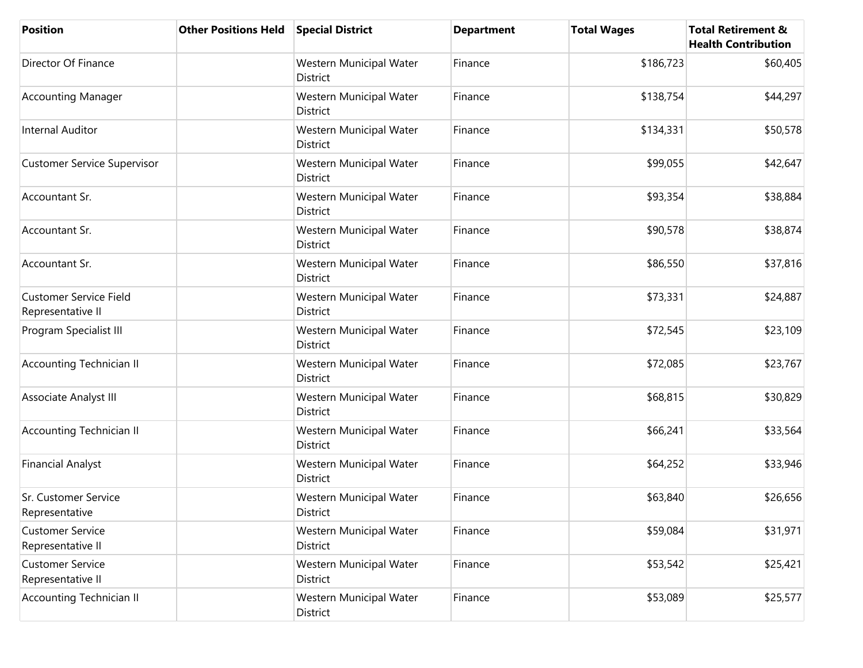| <b>Position</b>                                    | <b>Other Positions Held</b> | <b>Special District</b>             | <b>Department</b> | <b>Total Wages</b> | <b>Total Retirement &amp;</b><br><b>Health Contribution</b> |
|----------------------------------------------------|-----------------------------|-------------------------------------|-------------------|--------------------|-------------------------------------------------------------|
| Director Of Finance                                |                             | Western Municipal Water<br>District | Finance           | \$186,723          | \$60,405                                                    |
| <b>Accounting Manager</b>                          |                             | Western Municipal Water<br>District | Finance           | \$138,754          | \$44,297                                                    |
| Internal Auditor                                   |                             | Western Municipal Water<br>District | Finance           | \$134,331          | \$50,578                                                    |
| <b>Customer Service Supervisor</b>                 |                             | Western Municipal Water<br>District | Finance           | \$99,055           | \$42,647                                                    |
| Accountant Sr.                                     |                             | Western Municipal Water<br>District | Finance           | \$93,354           | \$38,884                                                    |
| Accountant Sr.                                     |                             | Western Municipal Water<br>District | Finance           | \$90,578           | \$38,874                                                    |
| Accountant Sr.                                     |                             | Western Municipal Water<br>District | Finance           | \$86,550           | \$37,816                                                    |
| <b>Customer Service Field</b><br>Representative II |                             | Western Municipal Water<br>District | Finance           | \$73,331           | \$24,887                                                    |
| Program Specialist III                             |                             | Western Municipal Water<br>District | Finance           | \$72,545           | \$23,109                                                    |
| <b>Accounting Technician II</b>                    |                             | Western Municipal Water<br>District | Finance           | \$72,085           | \$23,767                                                    |
| Associate Analyst III                              |                             | Western Municipal Water<br>District | Finance           | \$68,815           | \$30,829                                                    |
| <b>Accounting Technician II</b>                    |                             | Western Municipal Water<br>District | Finance           | \$66,241           | \$33,564                                                    |
| <b>Financial Analyst</b>                           |                             | Western Municipal Water<br>District | Finance           | \$64,252           | \$33,946                                                    |
| Sr. Customer Service<br>Representative             |                             | Western Municipal Water<br>District | Finance           | \$63,840           | \$26,656                                                    |
| <b>Customer Service</b><br>Representative II       |                             | Western Municipal Water<br>District | Finance           | \$59,084           | \$31,971                                                    |
| <b>Customer Service</b><br>Representative II       |                             | Western Municipal Water<br>District | Finance           | \$53,542           | \$25,421                                                    |
| <b>Accounting Technician II</b>                    |                             | Western Municipal Water<br>District | Finance           | \$53,089           | \$25,577                                                    |